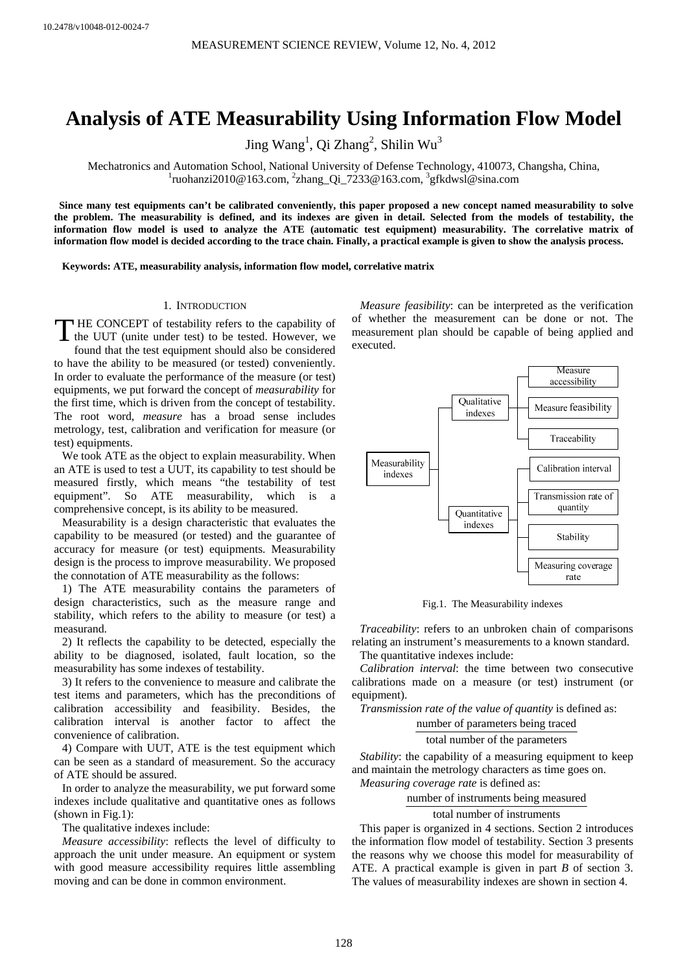# **Analysis of ATE Measurability Using Information Flow Model**

Jing Wang<sup>1</sup>, Qi Zhang<sup>2</sup>, Shilin Wu<sup>3</sup>

Mechatronics and Automation School, National University of Defense Technology, 410073, Changsha, China, 1 ruohanzi2010@163.com,  $^{2}$ zhang\_Qi\_7233@163.com,  $^{3}$ gfkdwsl@sina.com

Since many test equipments can't be calibrated conveniently, this paper proposed a new concept named measurability to solve **the problem. The measurability is defined, and its indexes are given in detail. Selected from the models of testability, the information flow model is used to analyze the ATE (automatic test equipment) measurability. The correlative matrix of information flow model is decided according to the trace chain. Finally, a practical example is given to show the analysis process.** 

**Keywords: ATE, measurability analysis, information flow model, correlative matrix** 

#### 1. INTRODUCTION

HE CONCEPT of testability refers to the capability of THE CONCEPT of testability refers to the capability of the UUT (unite under test) to be tested. However, we

found that the test equipment should also be considered to have the ability to be measured (or tested) conveniently. In order to evaluate the performance of the measure (or test) equipments, we put forward the concept of *measurability* for the first time, which is driven from the concept of testability. The root word, *measure* has a broad sense includes metrology, test, calibration and verification for measure (or test) equipments.

We took ATE as the object to explain measurability. When an ATE is used to test a UUT, its capability to test should be measured firstly, which means "the testability of test equipment". So ATE measurability, which is a comprehensive concept, is its ability to be measured.

Measurability is a design characteristic that evaluates the capability to be measured (or tested) and the guarantee of accuracy for measure (or test) equipments. Measurability design is the process to improve measurability. We proposed the connotation of ATE measurability as the follows:

1) The ATE measurability contains the parameters of design characteristics, such as the measure range and stability, which refers to the ability to measure (or test) a measurand.

2) It reflects the capability to be detected, especially the ability to be diagnosed, isolated, fault location, so the measurability has some indexes of testability.

3) It refers to the convenience to measure and calibrate the test items and parameters, which has the preconditions of calibration accessibility and feasibility. Besides, the calibration interval is another factor to affect the convenience of calibration.

4) Compare with UUT, ATE is the test equipment which can be seen as a standard of measurement. So the accuracy of ATE should be assured.

In order to analyze the measurability, we put forward some indexes include qualitative and quantitative ones as follows (shown in Fig.1):

The qualitative indexes include:

*Measure accessibility*: reflects the level of difficulty to approach the unit under measure. An equipment or system with good measure accessibility requires little assembling moving and can be done in common environment.

*Measure feasibility*: can be interpreted as the verification of whether the measurement can be done or not. The measurement plan should be capable of being applied and executed.



Fig.1. The Measurability indexes

*Traceability*: refers to an unbroken chain of comparisons relating an instrument's measurements to a known standard. The quantitative indexes include:

*Calibration interval*: the time between two consecutive calibrations made on a measure (or test) instrument (or equipment).

*Transmission rate of the value of quantity* is defined as: number of parameters being traced

#### total number of the parameters

*Stability*: the capability of a measuring equipment to keep and maintain the metrology characters as time goes on. *Measuring coverage rate* is defined as:

number of instruments being measured

## total number of instruments

This paper is organized in 4 sections. Section 2 introduces the information flow model of testability. Section 3 presents the reasons why we choose this model for measurability of ATE. A practical example is given in part *B* of section 3. The values of measurability indexes are shown in section 4.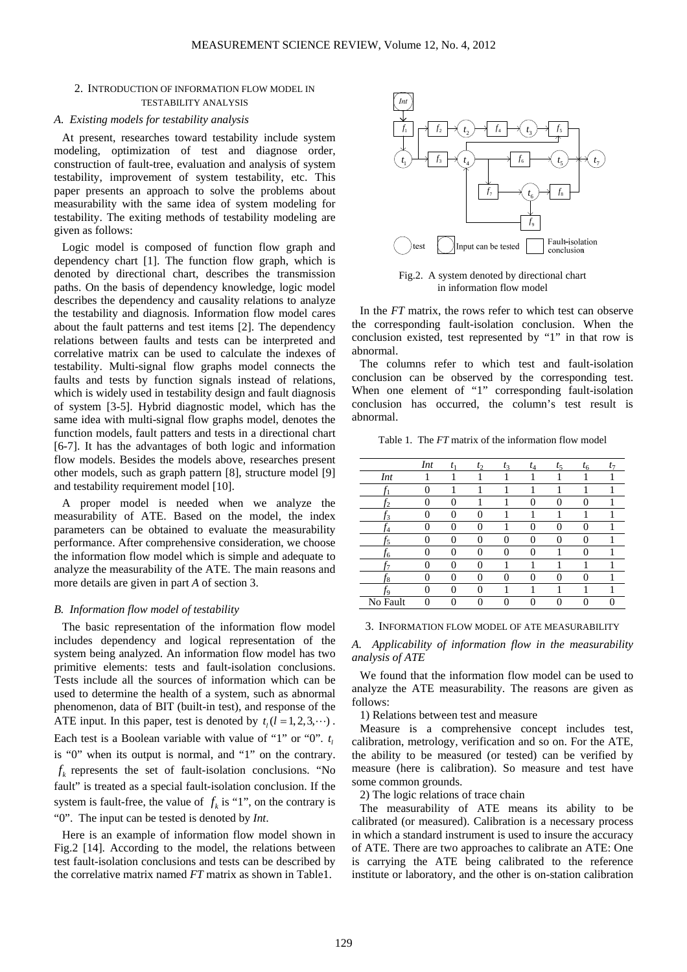#### 2. INTRODUCTION OF INFORMATION FLOW MODEL IN TESTABILITY ANALYSIS

## *A. Existing models for testability analysis*

At present, researches toward testability include system modeling, optimization of test and diagnose order, construction of fault-tree, evaluation and analysis of system testability, improvement of system testability, etc. This paper presents an approach to solve the problems about measurability with the same idea of system modeling for testability. The exiting methods of testability modeling are given as follows:

Logic model is composed of function flow graph and dependency chart [1]. The function flow graph, which is denoted by directional chart, describes the transmission paths. On the basis of dependency knowledge, logic model describes the dependency and causality relations to analyze the testability and diagnosis. Information flow model cares about the fault patterns and test items [2]. The dependency relations between faults and tests can be interpreted and correlative matrix can be used to calculate the indexes of testability. Multi-signal flow graphs model connects the faults and tests by function signals instead of relations, which is widely used in testability design and fault diagnosis of system [3-5]. Hybrid diagnostic model, which has the same idea with multi-signal flow graphs model, denotes the function models, fault patters and tests in a directional chart [6-7]. It has the advantages of both logic and information flow models. Besides the models above, researches present other models, such as graph pattern [8], structure model [9] and testability requirement model [10].

A proper model is needed when we analyze the measurability of ATE. Based on the model, the index parameters can be obtained to evaluate the measurability performance. After comprehensive consideration, we choose the information flow model which is simple and adequate to analyze the measurability of the ATE. The main reasons and more details are given in part *A* of section 3.

#### *B. Information flow model of testability*

The basic representation of the information flow model includes dependency and logical representation of the system being analyzed. An information flow model has two primitive elements: tests and fault-isolation conclusions. Tests include all the sources of information which can be used to determine the health of a system, such as abnormal phenomenon, data of BIT (built-in test), and response of the ATE input. In this paper, test is denoted by  $t_i$  ( $l = 1, 2, 3, \dots$ ). Each test is a Boolean variable with value of "1" or "0".  $t_1$ is "0" when its output is normal, and "1" on the contrary.  $f_k$  represents the set of fault-isolation conclusions. "No fault" is treated as a special fault-isolation conclusion. If the system is fault-free, the value of  $f_k$  is "1", on the contrary is "0". The input can be tested is denoted by *Int*.

Here is an example of information flow model shown in Fig.2 [14]. According to the model, the relations between test fault-isolation conclusions and tests can be described by the correlative matrix named *FT* matrix as shown in Table1.



Fig.2. A system denoted by directional chart in information flow model

In the *FT* matrix, the rows refer to which test can observe the corresponding fault-isolation conclusion. When the conclusion existed, test represented by "1" in that row is abnormal.

The columns refer to which test and fault-isolation conclusion can be observed by the corresponding test. When one element of "1" corresponding fault-isolation conclusion has occurred, the column's test result is abnormal.

Table 1. The *FT* matrix of the information flow model

|                | Int | t <sub>1</sub> | $t_2$ | $t_3$ | $t_4$             | $t_5$    | $t_6$ | $t_7$ |
|----------------|-----|----------------|-------|-------|-------------------|----------|-------|-------|
| Int            |     |                |       |       |                   |          |       |       |
|                | 0   |                |       |       |                   |          |       |       |
| ?              | 0   | 0              |       |       | $\mathbf{\Omega}$ | $\theta$ |       |       |
| Т3             | 0   | 0              | 0     |       |                   |          |       |       |
| $\overline{4}$ | 0   | 0              | 0     |       | 0                 | $\Omega$ | 0     |       |
| J5             | 0   | 0              | 0     |       | 0                 | 0        | 0     |       |
| J6.            | 0   | 0              | 0     | 0     | 0                 |          | 0     |       |
|                | 0   | 0              | 0     |       |                   |          |       |       |
| J8.            | 0   | 0              | 0     |       | 0                 | 0        | 0     |       |
| $f_9$          | 0   | 0              | 0     |       |                   |          |       |       |
| No Fault       |     | 0              | 0     |       | 0                 |          |       |       |

3. INFORMATION FLOW MODEL OF ATE MEASURABILITY

*A. Applicability of information flow in the measurability analysis of ATE* 

We found that the information flow model can be used to analyze the ATE measurability. The reasons are given as follows:

1) Relations between test and measure

Measure is a comprehensive concept includes test, calibration, metrology, verification and so on. For the ATE, the ability to be measured (or tested) can be verified by measure (here is calibration). So measure and test have some common grounds.

2) The logic relations of trace chain

The measurability of ATE means its ability to be calibrated (or measured). Calibration is a necessary process in which a standard instrument is used to insure the accuracy of ATE. There are two approaches to calibrate an ATE: One is carrying the ATE being calibrated to the reference institute or laboratory, and the other is on-station calibration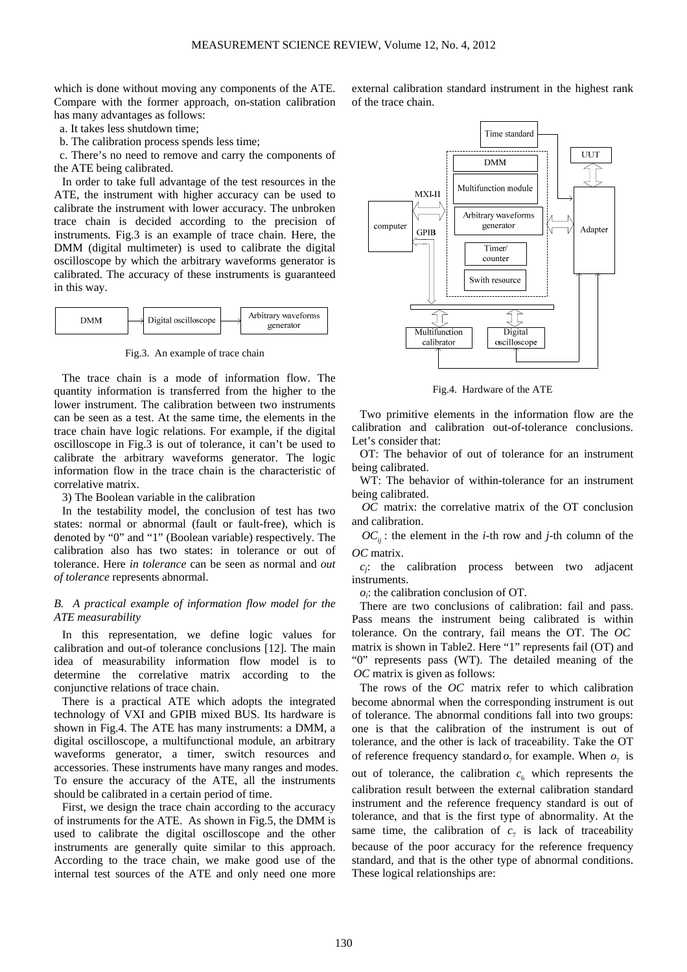which is done without moving any components of the ATE. Compare with the former approach, on-station calibration has many advantages as follows:

- a. It takes less shutdown time;
- b. The calibration process spends less time;

c. There's no need to remove and carry the components of the ATE being calibrated.

In order to take full advantage of the test resources in the ATE, the instrument with higher accuracy can be used to calibrate the instrument with lower accuracy. The unbroken trace chain is decided according to the precision of instruments. Fig.3 is an example of trace chain. Here, the DMM (digital multimeter) is used to calibrate the digital oscilloscope by which the arbitrary waveforms generator is calibrated. The accuracy of these instruments is guaranteed in this way.



Fig.3. An example of trace chain

The trace chain is a mode of information flow. The quantity information is transferred from the higher to the lower instrument. The calibration between two instruments can be seen as a test. At the same time, the elements in the trace chain have logic relations. For example, if the digital oscilloscope in Fig.3 is out of tolerance, it can't be used to calibrate the arbitrary waveforms generator. The logic information flow in the trace chain is the characteristic of correlative matrix.

3) The Boolean variable in the calibration

In the testability model, the conclusion of test has two states: normal or abnormal (fault or fault-free), which is denoted by "0" and "1" (Boolean variable) respectively. The calibration also has two states: in tolerance or out of tolerance. Here *in tolerance* can be seen as normal and *out of tolerance* represents abnormal.

### *B. A practical example of information flow model for the ATE measurability*

In this representation, we define logic values for calibration and out-of tolerance conclusions [12]. The main idea of measurability information flow model is to determine the correlative matrix according to the conjunctive relations of trace chain.

There is a practical ATE which adopts the integrated technology of VXI and GPIB mixed BUS. Its hardware is shown in Fig.4. The ATE has many instruments: a DMM, a digital oscilloscope, a multifunctional module, an arbitrary waveforms generator, a timer, switch resources and accessories. These instruments have many ranges and modes. To ensure the accuracy of the ATE, all the instruments should be calibrated in a certain period of time.

First, we design the trace chain according to the accuracy of instruments for the ATE. As shown in Fig.5, the DMM is used to calibrate the digital oscilloscope and the other instruments are generally quite similar to this approach. According to the trace chain, we make good use of the internal test sources of the ATE and only need one more external calibration standard instrument in the highest rank of the trace chain.



Fig.4. Hardware of the ATE

Two primitive elements in the information flow are the calibration and calibration out-of-tolerance conclusions. Let's consider that:

OT: The behavior of out of tolerance for an instrument being calibrated.

WT: The behavior of within-tolerance for an instrument being calibrated.

*OC* matrix: the correlative matrix of the OT conclusion and calibration.

 $OC_{ii}$ : the element in the *i*-th row and *j*-th column of the *OC* matrix.

*cj*: the calibration process between two adjacent instruments.

*oi*: the calibration conclusion of OT.

There are two conclusions of calibration: fail and pass. Pass means the instrument being calibrated is within tolerance. On the contrary, fail means the OT. The *OC* matrix is shown in Table2. Here "1" represents fail (OT) and "0" represents pass (WT). The detailed meaning of the *OC* matrix is given as follows:

The rows of the *OC* matrix refer to which calibration become abnormal when the corresponding instrument is out of tolerance. The abnormal conditions fall into two groups: one is that the calibration of the instrument is out of tolerance, and the other is lack of traceability. Take the OT of reference frequency standard  $o_7$  for example. When  $o_7$  is out of tolerance, the calibration  $c<sub>6</sub>$  which represents the calibration result between the external calibration standard instrument and the reference frequency standard is out of tolerance, and that is the first type of abnormality. At the same time, the calibration of  $c_7$  is lack of traceability because of the poor accuracy for the reference frequency standard, and that is the other type of abnormal conditions. These logical relationships are: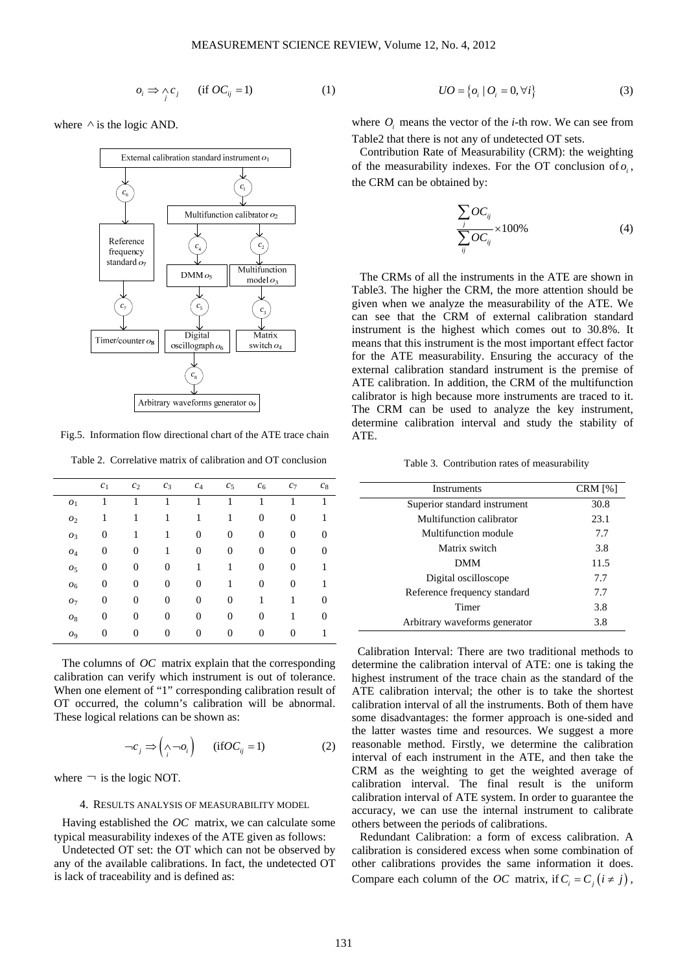$$
o_i \Rightarrow_{\hat{j}} c_j \quad \text{(if } OC_{ij} = 1 \text{)} \tag{1}
$$

where  $\wedge$  is the logic AND.



Fig.5. Information flow directional chart of the ATE trace chain

Table 2. Correlative matrix of calibration and OT conclusion

|                | c <sub>1</sub> | c <sub>2</sub> | $c_3$          | $c_4$ | $c_5$ | c <sub>6</sub>   | $c_7$          | $c_8$    |
|----------------|----------------|----------------|----------------|-------|-------|------------------|----------------|----------|
| O <sub>1</sub> | 1              | 1              | 1              | 1     | 1     | 1                | 1              | 1        |
| O <sub>2</sub> | 1              | 1              | 1              | 1     | 1     | $\overline{0}$   | $\theta$       | 1        |
| $O_3$          | 0              | 1              | 1              | 0     | 0     | $\boldsymbol{0}$ | $\overline{0}$ | $_{0}$   |
| $O_4$          | 0              | 0              | 1              | 0     | 0     | $\boldsymbol{0}$ | $\overline{0}$ | 0        |
| O <sub>5</sub> | 0              | 0              | 0              | 1     | 1     | $\boldsymbol{0}$ | $\overline{0}$ | 1        |
| O <sub>6</sub> | 0              | $\overline{0}$ | $\overline{0}$ | 0     | 1     | $\overline{0}$   | $\overline{0}$ | 1        |
| O <sub>7</sub> | 0              | 0              | 0              | 0     | 0     | 1                | 1              | 0        |
| $O_8$          | 0              | 0              | 0              | 0     | 0     | 0                | 1              | $\theta$ |
| O <sub>9</sub> | 0              | 0              | 0              | 0     | 0     | $\boldsymbol{0}$ | 0              | 1        |

The columns of *OC* matrix explain that the corresponding calibration can verify which instrument is out of tolerance. When one element of "1" corresponding calibration result of OT occurred, the column's calibration will be abnormal. These logical relations can be shown as:

$$
\neg c_j \Rightarrow \left(\underset{i}{\wedge} \neg o_i\right) \quad (\text{if } OC_{ij} = 1)
$$
 (2)

where  $\neg$  is the logic NOT.

#### 4. RESULTS ANALYSIS OF MEASURABILITY MODEL

Having established the *OC* matrix, we can calculate some typical measurability indexes of the ATE given as follows:

Undetected OT set: the OT which can not be observed by any of the available calibrations. In fact, the undetected OT is lack of traceability and is defined as:

$$
UO = \{o_i \mid O_i = 0, \forall i\}
$$
 (3)

where  $O_i$  means the vector of the *i*-th row. We can see from Table2 that there is not any of undetected OT sets.

Contribution Rate of Measurability (CRM): the weighting of the measurability indexes. For the OT conclusion of  $o_i$ , the CRM can be obtained by:

$$
\frac{\sum_{j} OC_{ij}}{\sum_{ij} OC_{ij}} \times 100\%
$$
\n(4)

The CRMs of all the instruments in the ATE are shown in Table3. The higher the CRM, the more attention should be given when we analyze the measurability of the ATE. We can see that the CRM of external calibration standard instrument is the highest which comes out to 30.8%. It means that this instrument is the most important effect factor for the ATE measurability. Ensuring the accuracy of the external calibration standard instrument is the premise of ATE calibration. In addition, the CRM of the multifunction calibrator is high because more instruments are traced to it. The CRM can be used to analyze the key instrument, determine calibration interval and study the stability of ATE.

Table 3. Contribution rates of measurability

| Instruments                   | $CRM \sim 1$ |
|-------------------------------|--------------|
| Superior standard instrument  | 30.8         |
| Multifunction calibrator      | 23.1         |
| Multifunction module          | 7.7          |
| Matrix switch                 | 3.8          |
| <b>DMM</b>                    | 11.5         |
| Digital oscilloscope          | 7.7          |
| Reference frequency standard  | 7.7          |
| Timer                         | 3.8          |
| Arbitrary waveforms generator | 3.8          |
|                               |              |

Calibration Interval: There are two traditional methods to determine the calibration interval of ATE: one is taking the highest instrument of the trace chain as the standard of the ATE calibration interval; the other is to take the shortest calibration interval of all the instruments. Both of them have some disadvantages: the former approach is one-sided and the latter wastes time and resources. We suggest a more reasonable method. Firstly, we determine the calibration interval of each instrument in the ATE, and then take the CRM as the weighting to get the weighted average of calibration interval. The final result is the uniform calibration interval of ATE system. In order to guarantee the accuracy, we can use the internal instrument to calibrate others between the periods of calibrations.

Redundant Calibration: a form of excess calibration. A calibration is considered excess when some combination of other calibrations provides the same information it does. Compare each column of the *OC* matrix, if  $C_i = C_i (i \neq j)$ ,